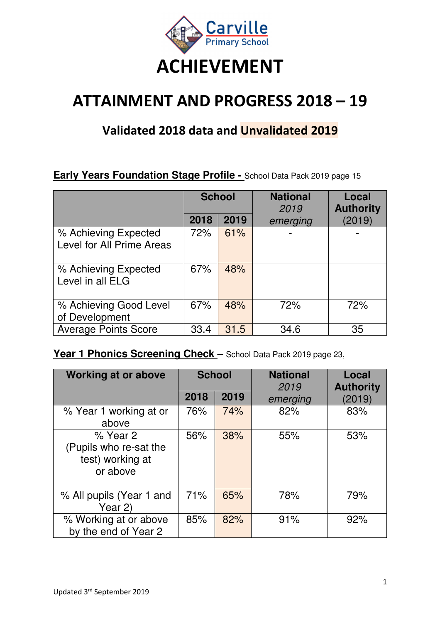

# **ATTAINMENT AND PROGRESS 2018 – 19**

### **Validated 2018 data and Unvalidated 2019**

#### **Early Years Foundation Stage Profile - School Data Pack 2019 page 15**

|                                                   | <b>School</b> |      | <b>National</b><br>2019 | Local<br><b>Authority</b> |
|---------------------------------------------------|---------------|------|-------------------------|---------------------------|
|                                                   | 2018          | 2019 | emerging                | (2019)                    |
| % Achieving Expected<br>Level for All Prime Areas | 72%           | 61%  |                         |                           |
| % Achieving Expected<br>Level in all ELG          | 67%           | 48%  |                         |                           |
| % Achieving Good Level<br>of Development          | 67%           | 48%  | 72%                     | 72%                       |
| <b>Average Points Score</b>                       | 33.4          | 31.5 | 34.6                    | 35                        |

#### Year 1 Phonics Screening Check - School Data Pack 2019 page 23,

| <b>Working at or above</b>                                         | <b>School</b> |      | <b>National</b><br>2019 | Local<br><b>Authority</b> |
|--------------------------------------------------------------------|---------------|------|-------------------------|---------------------------|
|                                                                    | 2018          | 2019 | emerging                | (2019)                    |
| % Year 1 working at or<br>above                                    | 76%           | 74%  | 82%                     | 83%                       |
| % Year 2<br>(Pupils who re-sat the<br>test) working at<br>or above | 56%           | 38%  | 55%                     | 53%                       |
| % All pupils (Year 1 and<br>Year 2)                                | 71%           | 65%  | 78%                     | 79%                       |
| % Working at or above<br>by the end of Year 2                      | 85%           | 82%  | 91%                     | 92%                       |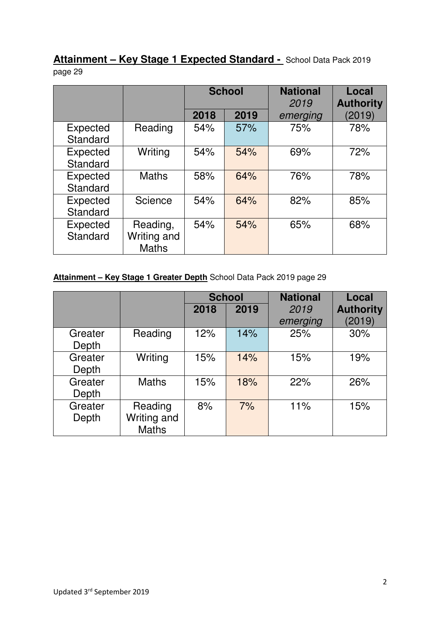**Attainment – Key Stage 1 Expected Standard -** School Data Pack 2019 page 29

|                      |                                         | <b>School</b> |      | <b>National</b><br>2019 | Local<br><b>Authority</b> |
|----------------------|-----------------------------------------|---------------|------|-------------------------|---------------------------|
|                      |                                         | 2018          | 2019 | emerging                | (2019)                    |
| Expected<br>Standard | Reading                                 | 54%           | 57%  | 75%                     | 78%                       |
| Expected<br>Standard | Writing                                 | 54%           | 54%  | 69%                     | 72%                       |
| Expected<br>Standard | <b>Maths</b>                            | 58%           | 64%  | 76%                     | 78%                       |
| Expected<br>Standard | Science                                 | 54%           | 64%  | 82%                     | 85%                       |
| Expected<br>Standard | Reading,<br>Writing and<br><b>Maths</b> | 54%           | 54%  | 65%                     | 68%                       |

#### **Attainment – Key Stage 1 Greater Depth** School Data Pack 2019 page 29

|                  |                                        | <b>School</b> |      | <b>National</b>  | Local                      |
|------------------|----------------------------------------|---------------|------|------------------|----------------------------|
|                  |                                        | 2018          | 2019 | 2019<br>emerging | <b>Authority</b><br>(2019) |
| Greater<br>Depth | Reading                                | 12%           | 14%  | 25%              | 30%                        |
| Greater<br>Depth | Writing                                | 15%           | 14%  | 15%              | 19%                        |
| Greater<br>Depth | <b>Maths</b>                           | 15%           | 18%  | 22%              | 26%                        |
| Greater<br>Depth | Reading<br>Writing and<br><b>Maths</b> | 8%            | 7%   | 11%              | 15%                        |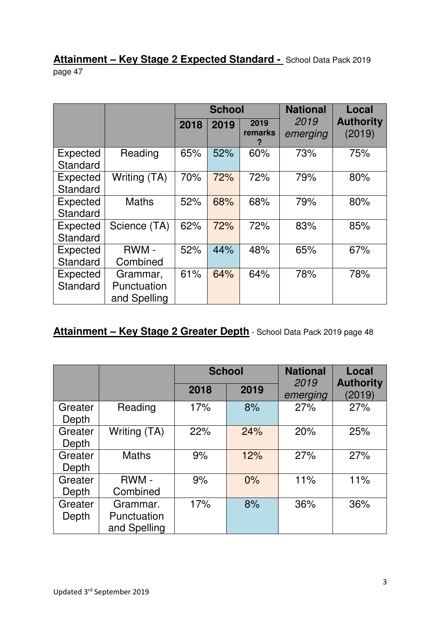#### **Attainment – Key Stage 2 Expected Standard -** School Data Pack 2019 page 47

|                             |                                         |      | <b>School</b> |                 | <b>National</b>  | Local                      |
|-----------------------------|-----------------------------------------|------|---------------|-----------------|------------------|----------------------------|
|                             |                                         | 2018 | 2019          | 2019<br>remarks | 2019<br>emerging | <b>Authority</b><br>(2019) |
| Expected<br>Standard        | Reading                                 | 65%  | 52%           | 60%             | 73%              | 75%                        |
| <b>Expected</b><br>Standard | Writing (TA)                            | 70%  | 72%           | 72%             | 79%              | 80%                        |
| Expected<br>Standard        | <b>Maths</b>                            | 52%  | 68%           | 68%             | 79%              | 80%                        |
| Expected<br>Standard        | Science (TA)                            | 62%  | 72%           | 72%             | 83%              | 85%                        |
| Expected<br>Standard        | RWM -<br>Combined                       | 52%  | 44%           | 48%             | 65%              | 67%                        |
| <b>Expected</b><br>Standard | Grammar,<br>Punctuation<br>and Spelling | 61%  | 64%           | 64%             | 78%              | 78%                        |

## **Attainment – Key Stage 2 Greater Depth** - School Data Pack 2019 page 48

|                  |                                         |      | <b>School</b> | <b>National</b>  | Local<br><b>Authority</b><br>(2019) |
|------------------|-----------------------------------------|------|---------------|------------------|-------------------------------------|
|                  |                                         | 2018 | 2019          | 2019<br>emerging |                                     |
| Greater<br>Depth | Reading                                 | 17%  | 8%            | 27%              | 27%                                 |
| Greater<br>Depth | Writing (TA)                            | 22%  | 24%           | 20%              | 25%                                 |
| Greater<br>Depth | <b>Maths</b>                            | 9%   | 12%           | 27%              | 27%                                 |
| Greater<br>Depth | RWM-<br>Combined                        | 9%   | 0%            | 11%              | 11%                                 |
| Greater<br>Depth | Grammar.<br>Punctuation<br>and Spelling | 17%  | 8%            | 36%              | 36%                                 |